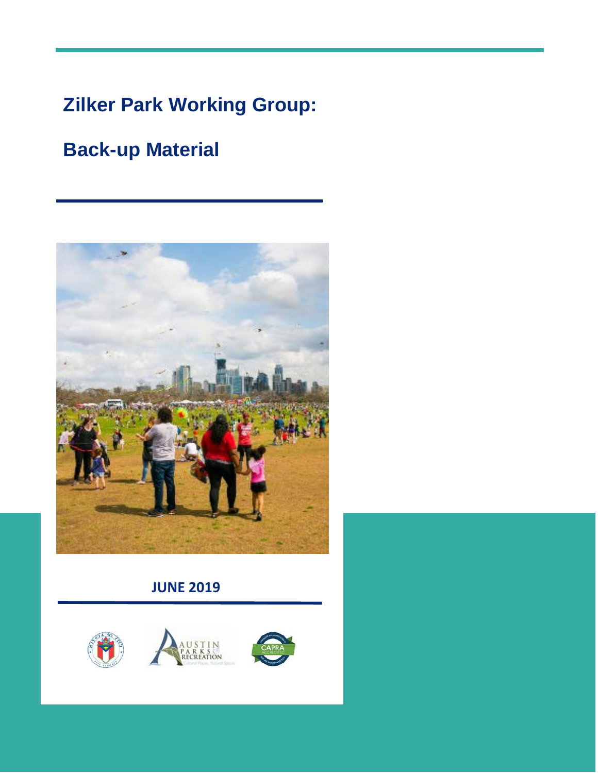# **Zilker Park Working Group:**

# **Back-up Material**



### **JUNE 2019**



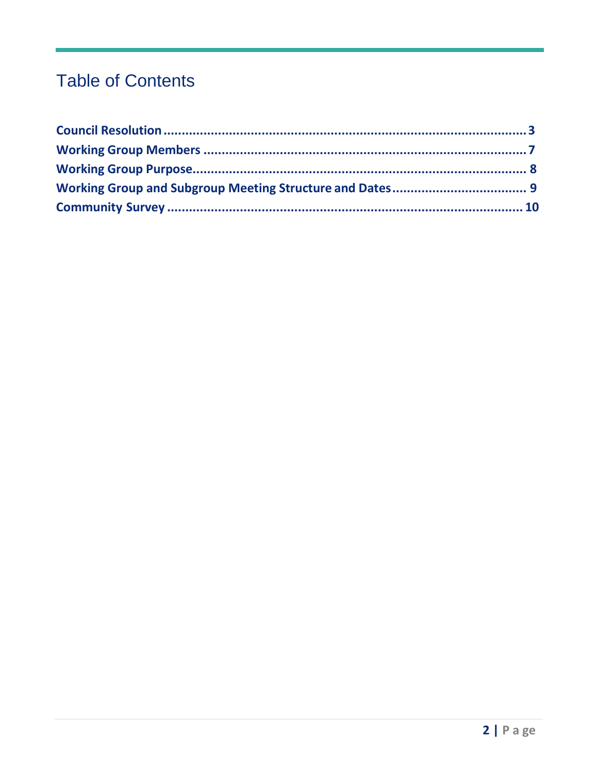## **Table of Contents**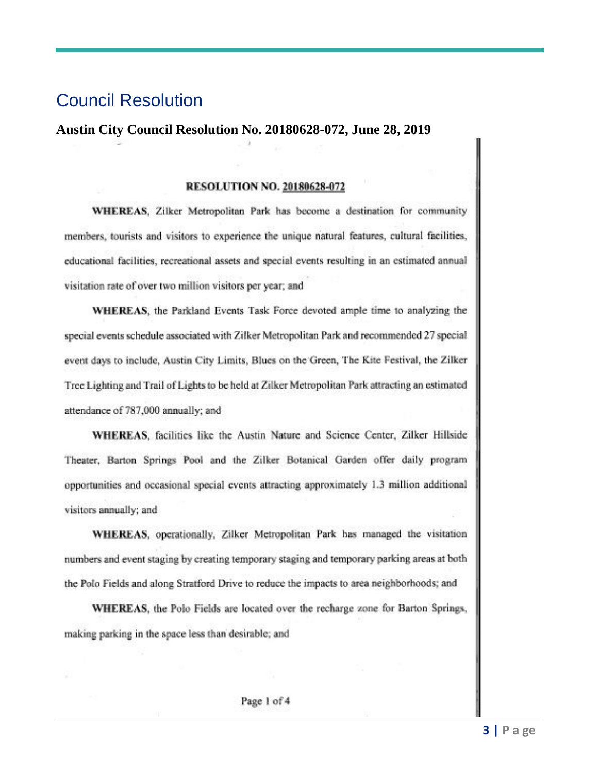### <span id="page-2-0"></span>Council Resolution

#### **Austin City Council Resolution No. 20180628-072, June 28, 2019**

#### **RESOLUTION NO. 20180628-072**

WHEREAS. Zilker Metropolitan Park has become a destination for community members, tourists and visitors to experience the unique natural features, cultural facilities, educational facilities, recreational assets and special events resulting in an estimated annual visitation rate of over two million visitors per year; and

WHEREAS, the Parkland Events Task Force devoted ample time to analyzing the special events schedule associated with Zilker Metropolitan Park and recommended 27 special event days to include, Austin City Limits, Blues on the Green, The Kite Festival, the Zilker Tree Lighting and Trail of Lights to be held at Zilker Metropolitan Park attracting an estimated attendance of 787,000 annually; and

WHEREAS, facilities like the Austin Nature and Science Center, Zilker Hillside Theater, Barton Springs Pool and the Zilker Botanical Garden offer daily program opportunities and occasional special events attracting approximately 1.3 million additional visitors annually; and

WHEREAS, operationally, Zilker Metropolitan Park has managed the visitation numbers and event staging by creating temporary staging and temporary parking areas at both the Polo Fields and along Stratford Drive to reduce the impacts to area neighborhoods; and

WHEREAS, the Polo Fields are located over the recharge zone for Barton Springs, making parking in the space less than desirable; and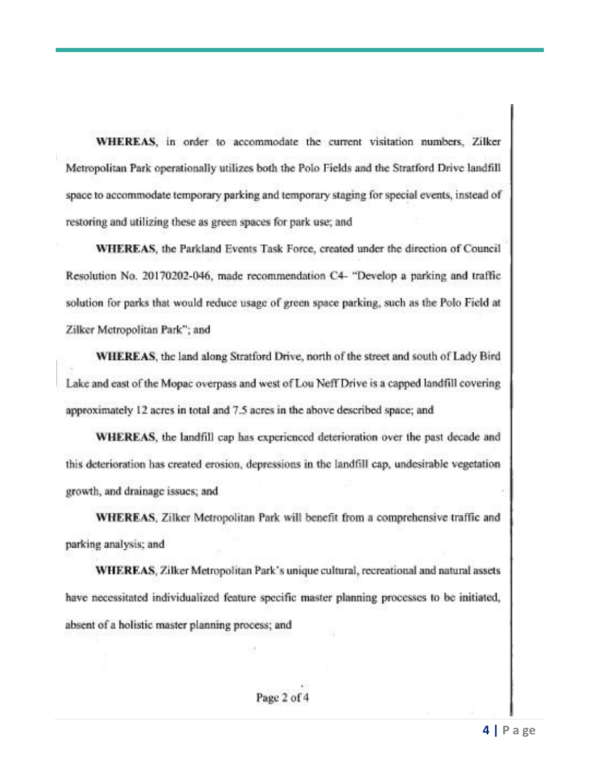WHEREAS, in order to accommodate the current visitation numbers, Zilker Metropolitan Park operationally utilizes both the Polo Fields and the Stratford Drive landfill space to accommodate temporary parking and temporary staging for special events, instead of restoring and utilizing these as green spaces for park use; and

WHEREAS, the Parkland Events Task Force, created under the direction of Council Resolution No. 20170202-046, made recommendation C4- "Develop a parking and traffic solution for parks that would reduce usage of green space parking, such as the Polo Field at Zilker Metropolitan Park"; and

**WHEREAS**, the land along Stratford Drive, north of the street and south of Lady Bird Lake and east of the Mopac overpass and west of Lou Neff Drive is a capped landfill covering approximately 12 acres in total and 7.5 acres in the above described space; and

WHEREAS, the landfill cap has experienced deterioration over the past decade and this deterioration has created erosion, depressions in the landfill cap, undesirable vegetation growth, and drainage issues; and

WHEREAS, Zilker Metropolitan Park will benefit from a comprehensive traffic and parking analysis; and

WHEREAS, Zilker Metropolitan Park's unique cultural, recreational and natural assets have necessitated individualized feature specific master planning processes to be initiated, absent of a holistic master planning process; and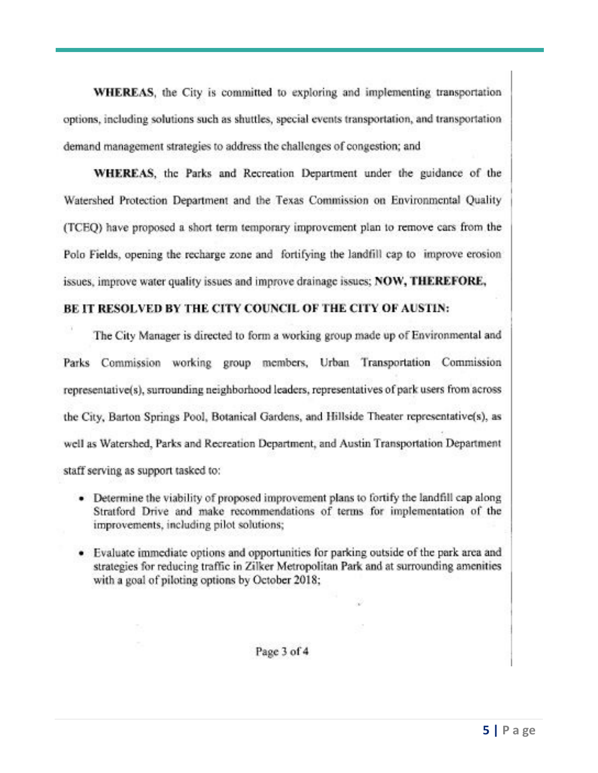**WHEREAS**, the City is committed to exploring and implementing transportation options, including solutions such as shuttles, special events transportation, and transportation demand management strategies to address the challenges of congestion; and

WHEREAS, the Parks and Recreation Department under the guidance of the Watershed Protection Department and the Texas Commission on Environmental Quality (TCEO) have proposed a short term temporary improvement plan to remove cars from the Polo Fields, opening the recharge zone and fortifying the landfill cap to improve erosion issues, improve water quality issues and improve drainage issues; NOW, THEREFORE,

#### BE IT RESOLVED BY THE CITY COUNCIL OF THE CITY OF AUSTIN:

The City Manager is directed to form a working group made up of Environmental and Parks Commission working group members, Urban Transportation Commission representative(s), surrounding neighborhood leaders, representatives of park users from across the City, Barton Springs Pool, Botanical Gardens, and Hillside Theater representative(s), as well as Watershed, Parks and Recreation Department, and Austin Transportation Department staff serving as support tasked to:

- Determine the viability of proposed improvement plans to fortify the landfill cap along Stratford Drive and make recommendations of terms for implementation of the improvements, including pilot solutions;
- Evaluate immediate options and opportunities for parking outside of the park area and strategies for reducing traffic in Zilker Metropolitan Park and at surrounding amenities with a goal of piloting options by October 2018;

Page 3 of 4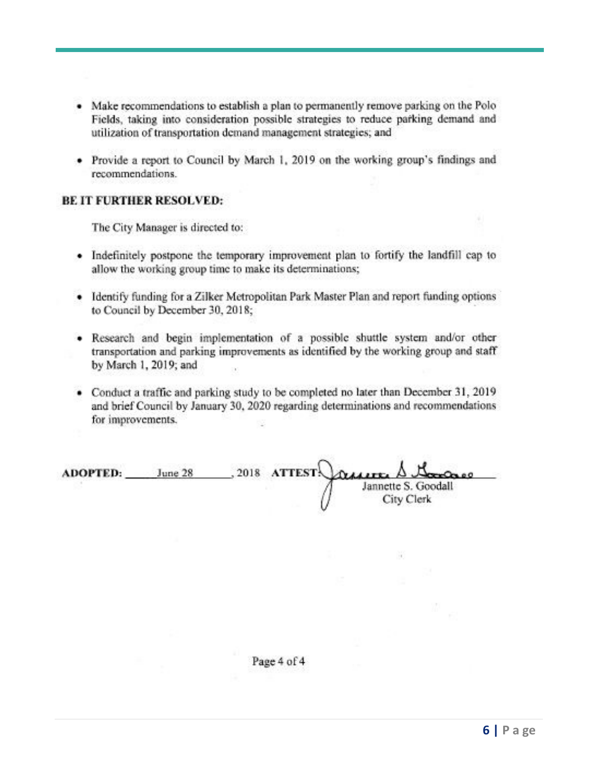- Make recommendations to establish a plan to permanently remove parking on the Polo Fields, taking into consideration possible strategies to reduce parking demand and utilization of transportation demand management strategies; and
- Provide a report to Council by March 1, 2019 on the working group's findings and recommendations.

#### **BE IT FURTHER RESOLVED:**

The City Manager is directed to:

- Indefinitely postpone the temporary improvement plan to fortify the landfill cap to allow the working group time to make its determinations;
- Identify funding for a Zilker Metropolitan Park Master Plan and report funding options to Council by December 30, 2018;
- Research and begin implementation of a possible shuttle system and/or other transportation and parking improvements as identified by the working group and staff by March 1, 2019; and
- Conduct a traffic and parking study to be completed no later than December 31, 2019 and brief Council by January 30, 2020 regarding determinations and recommendations for improvements.

| <b>ADOPTED:</b> | June 28 |  | , 2018 ATTEST Craiger A Garage    |
|-----------------|---------|--|-----------------------------------|
|                 |         |  | Jannette S. Goodall<br>City Clerk |

BC.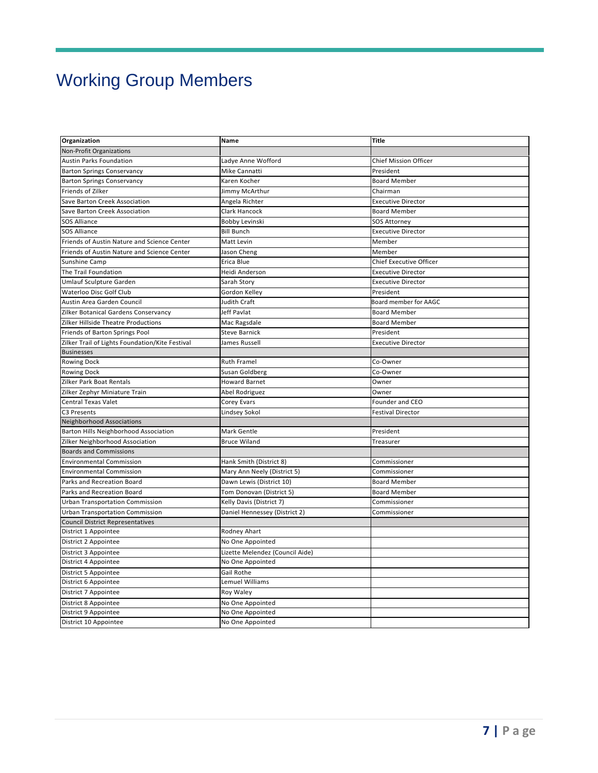# Working Group Members

| Organization                                    | Name                            | <b>Title</b>                 |  |
|-------------------------------------------------|---------------------------------|------------------------------|--|
| Non-Profit Organizations                        |                                 |                              |  |
| Austin Parks Foundation                         | Ladye Anne Wofford              | <b>Chief Mission Officer</b> |  |
| <b>Barton Springs Conservancy</b>               | Mike Cannatti                   | President                    |  |
| <b>Barton Springs Conservancy</b>               | Karen Kocher                    | <b>Board Member</b>          |  |
| Friends of Zilker                               | Jimmy McArthur                  | Chairman                     |  |
| Save Barton Creek Association                   | Angela Richter                  | <b>Executive Director</b>    |  |
| Save Barton Creek Association                   | Clark Hancock                   | <b>Board Member</b>          |  |
| <b>SOS Alliance</b>                             | Bobby Levinski                  | <b>SOS Attorney</b>          |  |
| <b>SOS Alliance</b>                             | <b>Bill Bunch</b>               | <b>Executive Director</b>    |  |
| Friends of Austin Nature and Science Center     | Matt Levin                      | Member                       |  |
| Friends of Austin Nature and Science Center     | Jason Cheng                     | Member                       |  |
| Sunshine Camp                                   | Erica Blue                      | Chief Executive Officer      |  |
| The Trail Foundation                            | Heidi Anderson                  | <b>Executive Director</b>    |  |
| Umlauf Sculpture Garden                         | Sarah Story                     | <b>Executive Director</b>    |  |
| Waterloo Disc Golf Club                         | Gordon Kelley                   | President                    |  |
| Austin Area Garden Council                      | Judith Craft                    | Board member for AAGC        |  |
| Zilker Botanical Gardens Conservancy            | Jeff Pavlat                     | <b>Board Member</b>          |  |
| Zilker Hillside Theatre Productions             | Mac Ragsdale                    | <b>Board Member</b>          |  |
| Friends of Barton Springs Pool                  | <b>Steve Barnick</b>            | President                    |  |
| Zilker Trail of Lights Foundation/Kite Festival | James Russell                   | <b>Executive Director</b>    |  |
| <b>Businesses</b>                               |                                 |                              |  |
| <b>Rowing Dock</b>                              | <b>Ruth Framel</b>              | Co-Owner                     |  |
| Rowing Dock                                     | Susan Goldberg                  | Co-Owner                     |  |
| Zilker Park Boat Rentals                        | <b>Howard Barnet</b>            | Owner                        |  |
| Zilker Zephyr Miniature Train                   | Abel Rodriguez                  | Owner                        |  |
| <b>Central Texas Valet</b>                      | Corey Evars                     | Founder and CEO              |  |
| C3 Presents                                     | Lindsey Sokol                   | <b>Festival Director</b>     |  |
| Neighborhood Associations                       |                                 |                              |  |
| Barton Hills Neighborhood Association           | <b>Mark Gentle</b>              | President                    |  |
| Zilker Neighborhood Association                 | <b>Bruce Wiland</b>             | Treasurer                    |  |
| <b>Boards and Commissions</b>                   |                                 |                              |  |
| <b>Environmental Commission</b>                 | Hank Smith (District 8)         | Commissioner                 |  |
| <b>Environmental Commission</b>                 | Mary Ann Neely (District 5)     | Commissioner                 |  |
| Parks and Recreation Board                      | Dawn Lewis (District 10)        | <b>Board Member</b>          |  |
| Parks and Recreation Board                      | Tom Donovan (District 5)        | <b>Board Member</b>          |  |
| <b>Urban Transportation Commission</b>          | Kelly Davis (District 7)        | Commissioner                 |  |
| <b>Urban Transportation Commission</b>          | Daniel Hennessey (District 2)   | Commissioner                 |  |
| <b>Council District Representatives</b>         |                                 |                              |  |
| District 1 Appointee                            | Rodney Ahart                    |                              |  |
| District 2 Appointee                            | No One Appointed                |                              |  |
| District 3 Appointee                            | Lizette Melendez (Council Aide) |                              |  |
| District 4 Appointee                            | No One Appointed                |                              |  |
| District 5 Appointee                            | Gail Rothe                      |                              |  |
| District 6 Appointee                            | Lemuel Williams                 |                              |  |
| District 7 Appointee                            | Roy Waley                       |                              |  |
| District 8 Appointee                            | No One Appointed                |                              |  |
| District 9 Appointee                            | No One Appointed                |                              |  |
| District 10 Appointee                           | No One Appointed                |                              |  |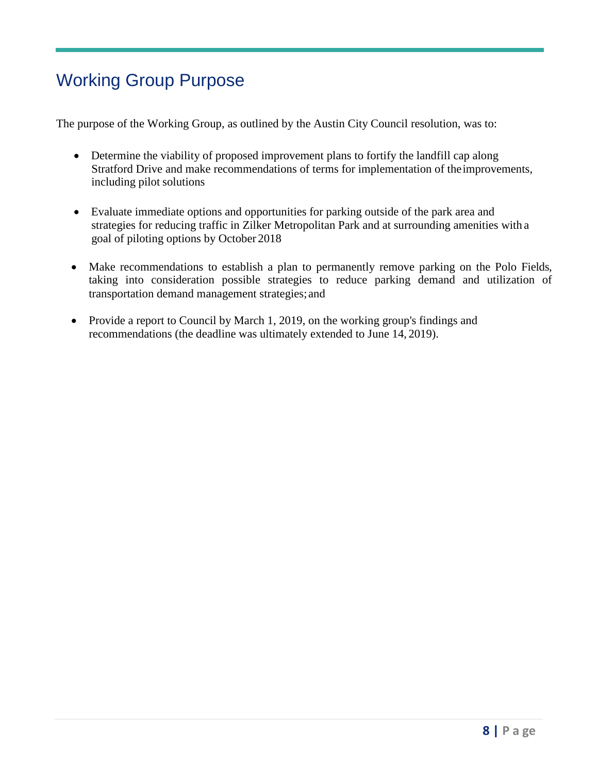## Working Group Purpose

The purpose of the Working Group, as outlined by the Austin City Council resolution, was to:

- Determine the viability of proposed improvement plans to fortify the landfill cap along Stratford Drive and make recommendations of terms for implementation of theimprovements, including pilot solutions
- Evaluate immediate options and opportunities for parking outside of the park area and strategies for reducing traffic in Zilker Metropolitan Park and at surrounding amenities with a goal of piloting options by October 2018
- Make recommendations to establish a plan to permanently remove parking on the Polo Fields, taking into consideration possible strategies to reduce parking demand and utilization of transportation demand management strategies; and
- Provide a report to Council by March 1, 2019, on the working group's findings and recommendations (the deadline was ultimately extended to June 14, 2019).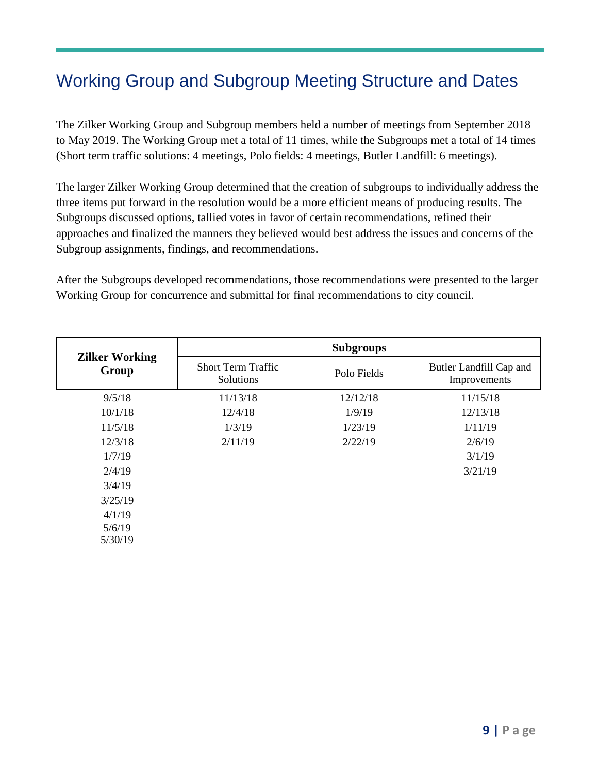## <span id="page-8-0"></span>Working Group and Subgroup Meeting Structure and Dates

The Zilker Working Group and Subgroup members held a number of meetings from September 2018 to May 2019. The Working Group met a total of 11 times, while the Subgroups met a total of 14 times (Short term traffic solutions: 4 meetings, Polo fields: 4 meetings, Butler Landfill: 6 meetings).

The larger Zilker Working Group determined that the creation of subgroups to individually address the three items put forward in the resolution would be a more efficient means of producing results. The Subgroups discussed options, tallied votes in favor of certain recommendations, refined their approaches and finalized the manners they believed would best address the issues and concerns of the Subgroup assignments, findings, and recommendations.

After the Subgroups developed recommendations, those recommendations were presented to the larger Working Group for concurrence and submittal for final recommendations to city council.

|                                | <b>Subgroups</b>                       |             |                                         |  |  |
|--------------------------------|----------------------------------------|-------------|-----------------------------------------|--|--|
| <b>Zilker Working</b><br>Group | <b>Short Term Traffic</b><br>Solutions | Polo Fields | Butler Landfill Cap and<br>Improvements |  |  |
| 9/5/18                         | 11/13/18                               | 12/12/18    | 11/15/18                                |  |  |
| 10/1/18                        | 12/4/18                                | 1/9/19      | 12/13/18                                |  |  |
| 11/5/18                        | 1/3/19                                 | 1/23/19     | 1/11/19                                 |  |  |
| 12/3/18                        | 2/11/19                                | 2/22/19     | 2/6/19                                  |  |  |
| 1/7/19                         |                                        |             | 3/1/19                                  |  |  |
| 2/4/19                         |                                        |             | 3/21/19                                 |  |  |
| 3/4/19                         |                                        |             |                                         |  |  |
| 3/25/19                        |                                        |             |                                         |  |  |
| 4/1/19                         |                                        |             |                                         |  |  |
| 5/6/19                         |                                        |             |                                         |  |  |
| 5/30/19                        |                                        |             |                                         |  |  |